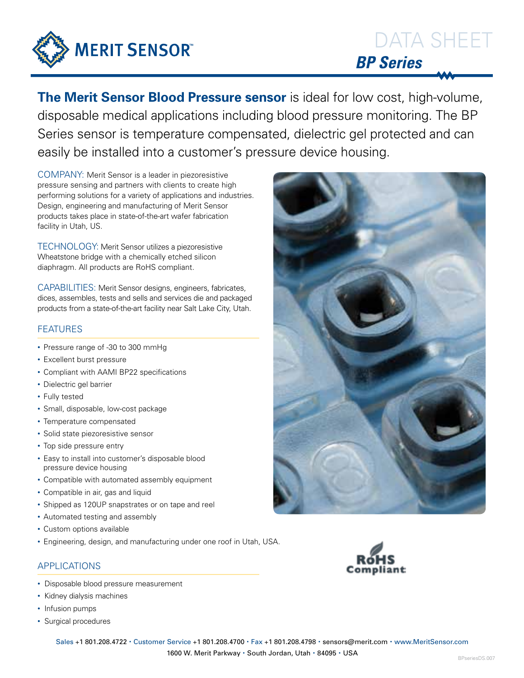

# DATA SHEET *BP Series*

**The Merit Sensor Blood Pressure sensor** is ideal for low cost, high-volume, disposable medical applications including blood pressure monitoring. The BP Series sensor is temperature compensated, dielectric gel protected and can easily be installed into a customer's pressure device housing.

COMPANY: Merit Sensor is a leader in piezoresistive pressure sensing and partners with clients to create high performing solutions for a variety of applications and industries. Design, engineering and manufacturing of Merit Sensor products takes place in state-of-the-art wafer fabrication facility in Utah, US.

TECHNOLOGY: Merit Sensor utilizes a piezoresistive Wheatstone bridge with a chemically etched silicon diaphragm. All products are RoHS compliant.

CAPABILITIES: Merit Sensor designs, engineers, fabricates, dices, assembles, tests and sells and services die and packaged products from a state-of-the-art facility near Salt Lake City, Utah.

## FEATURES

- Pressure range of -30 to 300 mmHg
- Excellent burst pressure
- Compliant with AAMI BP22 specifications
- Dielectric gel barrier
- Fully tested
- Small, disposable, low-cost package
- Temperature compensated
- Solid state piezoresistive sensor
- Top side pressure entry
- Easy to install into customer's disposable blood pressure device housing
- Compatible with automated assembly equipment
- Compatible in air, gas and liquid
- Shipped as 120UP snapstrates or on tape and reel
- Automated testing and assembly
- Custom options available
- Engineering, design, and manufacturing under one roof in Utah, USA.

## APPLICATIONS

- Disposable blood pressure measurement
- Kidney dialysis machines
- Infusion pumps
- Surgical procedures



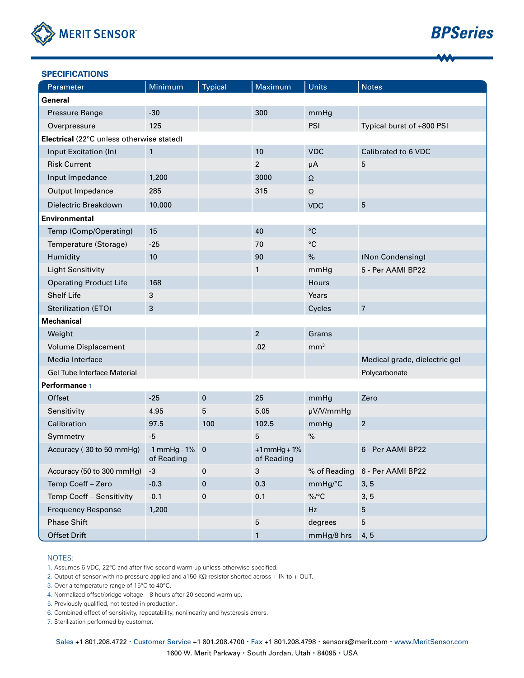

# *BPSeries*

| <b>SPECIFICATIONS</b>                     |                                   |                |                              |                   |                               |
|-------------------------------------------|-----------------------------------|----------------|------------------------------|-------------------|-------------------------------|
| Parameter                                 | Minimum                           | <b>Typical</b> | Maximum                      | <b>Units</b>      | <b>Notes</b>                  |
| General                                   |                                   |                |                              |                   |                               |
| Pressure Range                            | $-30$                             |                | 300                          | mmHg              |                               |
| Overpressure                              | 125                               |                |                              | PSI               | Typical burst of +800 PSI     |
| Electrical (22°C unless otherwise stated) |                                   |                |                              |                   |                               |
| Input Excitation (In)                     | $\mathbf{1}$                      |                | 10                           | <b>VDC</b>        | Calibrated to 6 VDC           |
| <b>Risk Current</b>                       |                                   |                | $\overline{\mathbf{c}}$      | $\mu$ A           | 5                             |
| Input Impedance                           | 1,200                             |                | 3000                         | $\Omega$          |                               |
| Output Impedance                          | 285                               |                | 315                          | $\Omega$          |                               |
| Dielectric Breakdown                      | 10,000                            |                |                              | <b>VDC</b>        | 5                             |
| <b>Environmental</b>                      |                                   |                |                              |                   |                               |
| Temp (Comp/Operating)                     | 15                                |                | 40                           | $^{\circ}{\rm C}$ |                               |
| Temperature (Storage)                     | $-25$                             |                | 70                           | $^{\circ}{\rm C}$ |                               |
| Humidity                                  | 10                                |                | 90                           | $\%$              | (Non Condensing)              |
| <b>Light Sensitivity</b>                  |                                   |                | 1                            | mmHg              | 5 - Per AAMI BP22             |
| <b>Operating Product Life</b>             | 168                               |                |                              | Hours             |                               |
| <b>Shelf Life</b>                         | 3                                 |                |                              | Years             |                               |
| Sterilization (ETO)                       | 3                                 |                |                              | Cycles            | $\overline{7}$                |
| <b>Mechanical</b>                         |                                   |                |                              |                   |                               |
| Weight                                    |                                   |                | $\overline{2}$               | Grams             |                               |
| <b>Volume Displacement</b>                |                                   |                | .02                          | mm <sup>3</sup>   |                               |
| Media Interface                           |                                   |                |                              |                   | Medical grade, dielectric gel |
| Gel Tube Interface Material               |                                   |                |                              |                   | Polycarbonate                 |
| Performance 1                             |                                   |                |                              |                   |                               |
| Offset                                    | $-25$                             | $\mathbf 0$    | 25                           | mmHg              | Zero                          |
| Sensitivity                               | 4.95                              | 5              | 5.05                         | µV/V/mmHg         |                               |
| Calibration                               | 97.5                              | 100            | 102.5                        | mmHg              | $\overline{2}$                |
| Symmetry                                  | $-5$                              |                | 5                            | $\frac{9}{6}$     |                               |
| Accuracy (-30 to 50 mmHg)                 | $-1$ mmHg - $1\%$ 0<br>of Reading |                | $+1$ mmHg + 1%<br>of Reading |                   | 6 - Per AAMI BP22             |
| Accuracy (50 to 300 mmHg)                 | $-3$                              | 0              | $\mathbf{3}$                 | % of Reading      | 6 - Per AAMI BP22             |
| Temp Coeff - Zero                         | $-0.3$                            | 0              | 0.3                          | mmHg/°C           | 3, 5                          |
| Temp Coeff - Sensitivity                  | $-0.1$                            | 0              | 0.1                          | $\%$ /°C          | 3, 5                          |
| <b>Frequency Response</b>                 | 1,200                             |                |                              | Hz                | 5                             |
| <b>Phase Shift</b>                        |                                   |                | 5                            | degrees           | 5                             |
| Offset Drift                              |                                   |                | 1                            | mmHg/8 hrs        | 4, 5                          |

#### NOTES:

1. Assumes 6 VDC, 22°C and after five second warm-up unless otherwise specified.

2. Output of sensor with no pressure applied and a150 KΩ resistor shorted across + IN to + OUT.

3. Over a temperature range of 15°C to 40°C.

4. Normalized offset/bridge voltage – 8 hours after 20 second warm-up.

5. Previously qualified, not tested in production.

6. Combined effect of sensitivity, repeatability, nonlinearity and hysteresis errors.

7. Sterilization performed by customer.

Sales +1 801.208.4722 · Customer Service +1 801.208.4700 · Fax +1 801.208.4798 · sensors@merit.com · www.MeritSensor.com 1600 W. Merit Parkway · South Jordan, Utah · 84095 · USA